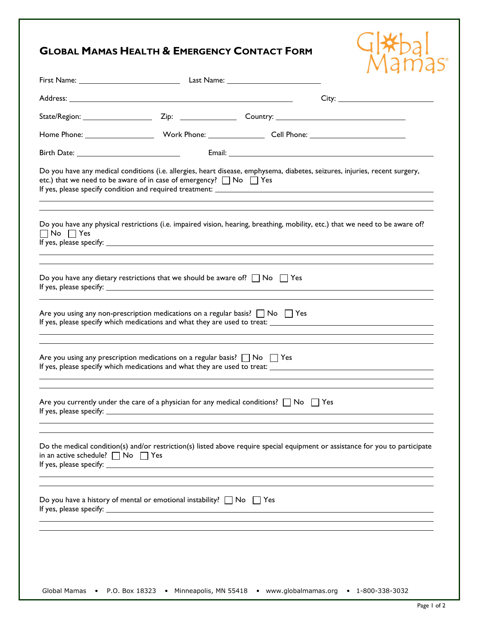## **GLOBAL M**

|                                             | <b>GLOBAL MAMAS HEALTH &amp; EMERGENCY CONTACT FORM</b>                                                                                                                                                     |  |
|---------------------------------------------|-------------------------------------------------------------------------------------------------------------------------------------------------------------------------------------------------------------|--|
|                                             |                                                                                                                                                                                                             |  |
|                                             |                                                                                                                                                                                                             |  |
|                                             |                                                                                                                                                                                                             |  |
|                                             |                                                                                                                                                                                                             |  |
|                                             |                                                                                                                                                                                                             |  |
|                                             | Do you have any medical conditions (i.e. allergies, heart disease, emphysema, diabetes, seizures, injuries, recent surgery,<br>etc.) that we need to be aware of in case of emergency? $\Box$ No $\Box$ Yes |  |
| $\Box$ No $\Box$ Yes                        | Do you have any physical restrictions (i.e. impaired vision, hearing, breathing, mobility, etc.) that we need to be aware of?                                                                               |  |
|                                             | Do you have any dietary restrictions that we should be aware of? $\Box$ No $\Box$ Yes                                                                                                                       |  |
|                                             | Are you using any non-prescription medications on a regular basis? $\Box$ No $\Box$ Yes                                                                                                                     |  |
|                                             | Are you using any prescription medications on a regular basis? $\Box$ No $\Box$ Yes                                                                                                                         |  |
|                                             | Are you currently under the care of a physician for any medical conditions? $\Box$ No $\Box$ Yes                                                                                                            |  |
| in an active schedule? $\Box$ No $\Box$ Yes | Do the medical condition(s) and/or restriction(s) listed above require special equipment or assistance for you to participate                                                                               |  |
|                                             | Do you have a history of mental or emotional instability? $\Box$ No $\Box$ Yes                                                                                                                              |  |
|                                             |                                                                                                                                                                                                             |  |